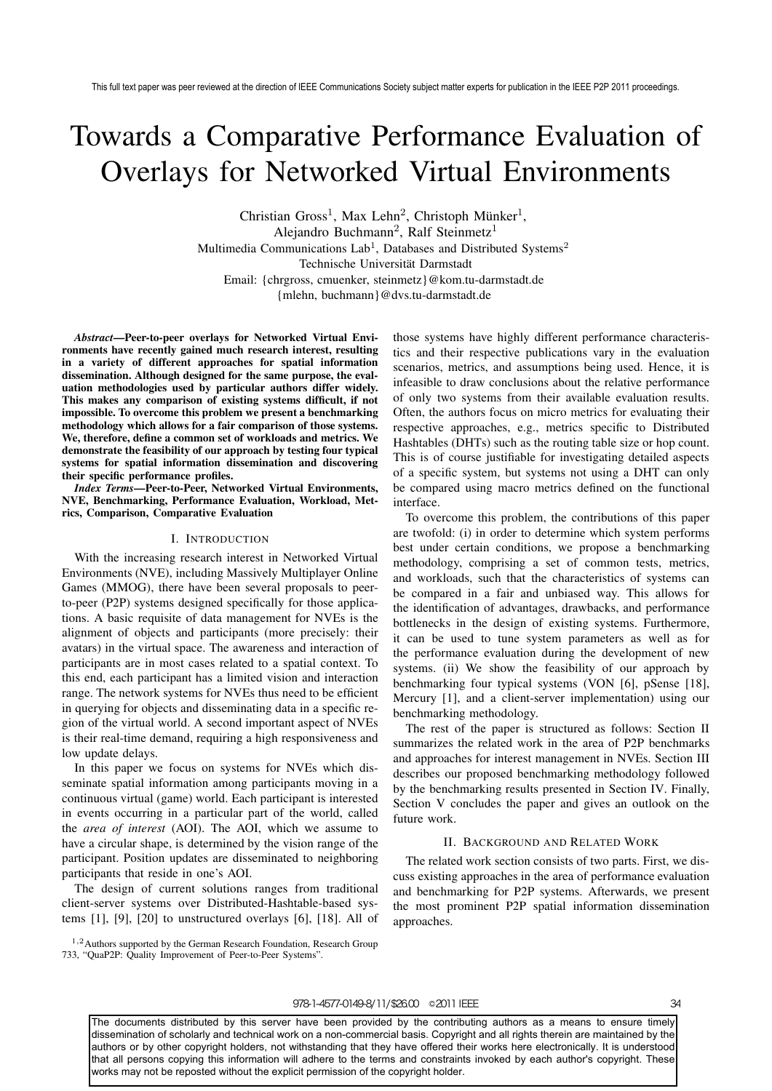# Towards a Comparative Performance Evaluation of Overlays for Networked Virtual Environments

Christian Gross<sup>1</sup>, Max Lehn<sup>2</sup>, Christoph Münker<sup>1</sup>, Alejandro Buchmann<sup>2</sup>, Ralf Steinmetz<sup>1</sup> Multimedia Communications Lab<sup>1</sup>, Databases and Distributed Systems<sup>2</sup> Technische Universität Darmstadt Email: {chrgross, cmuenker, steinmetz}@kom.tu-darmstadt.de {mlehn, buchmann}@dvs.tu-darmstadt.de

*Abstract***—Peer-to-peer overlays for Networked Virtual Environments have recently gained much research interest, resulting in a variety of different approaches for spatial information dissemination. Although designed for the same purpose, the evaluation methodologies used by particular authors differ widely. This makes any comparison of existing systems difficult, if not impossible. To overcome this problem we present a benchmarking methodology which allows for a fair comparison of those systems. We, therefore, define a common set of workloads and metrics. We demonstrate the feasibility of our approach by testing four typical systems for spatial information dissemination and discovering their specific performance profiles.**

*Index Terms***—Peer-to-Peer, Networked Virtual Environments, NVE, Benchmarking, Performance Evaluation, Workload, Metrics, Comparison, Comparative Evaluation**

# I. INTRODUCTION

With the increasing research interest in Networked Virtual Environments (NVE), including Massively Multiplayer Online Games (MMOG), there have been several proposals to peerto-peer (P2P) systems designed specifically for those applications. A basic requisite of data management for NVEs is the alignment of objects and participants (more precisely: their avatars) in the virtual space. The awareness and interaction of participants are in most cases related to a spatial context. To this end, each participant has a limited vision and interaction range. The network systems for NVEs thus need to be efficient in querying for objects and disseminating data in a specific region of the virtual world. A second important aspect of NVEs is their real-time demand, requiring a high responsiveness and low update delays.

In this paper we focus on systems for NVEs which disseminate spatial information among participants moving in a continuous virtual (game) world. Each participant is interested in events occurring in a particular part of the world, called the *area of interest* (AOI). The AOI, which we assume to have a circular shape, is determined by the vision range of the participant. Position updates are disseminated to neighboring participants that reside in one's AOI.

The design of current solutions ranges from traditional client-server systems over Distributed-Hashtable-based systems [1], [9], [20] to unstructured overlays [6], [18]. All of

<sup>1,2</sup>Authors supported by the German Research Foundation, Research Group 733, "QuaP2P: Quality Improvement of Peer-to-Peer Systems".

those systems have highly different performance characteristics and their respective publications vary in the evaluation scenarios, metrics, and assumptions being used. Hence, it is infeasible to draw conclusions about the relative performance of only two systems from their available evaluation results. Often, the authors focus on micro metrics for evaluating their respective approaches, e.g., metrics specific to Distributed Hashtables (DHTs) such as the routing table size or hop count. This is of course justifiable for investigating detailed aspects of a specific system, but systems not using a DHT can only be compared using macro metrics defined on the functional interface.

To overcome this problem, the contributions of this paper are twofold: (i) in order to determine which system performs best under certain conditions, we propose a benchmarking methodology, comprising a set of common tests, metrics, and workloads, such that the characteristics of systems can be compared in a fair and unbiased way. This allows for the identification of advantages, drawbacks, and performance bottlenecks in the design of existing systems. Furthermore, it can be used to tune system parameters as well as for the performance evaluation during the development of new systems. (ii) We show the feasibility of our approach by benchmarking four typical systems (VON [6], pSense [18], Mercury [1], and a client-server implementation) using our benchmarking methodology.

The rest of the paper is structured as follows: Section II summarizes the related work in the area of P2P benchmarks and approaches for interest management in NVEs. Section III describes our proposed benchmarking methodology followed by the benchmarking results presented in Section IV. Finally, Section V concludes the paper and gives an outlook on the future work.

# II. BACKGROUND AND RELATED WORK

The related work section consists of two parts. First, we discuss existing approaches in the area of performance evaluation and benchmarking for P2P systems. Afterwards, we present the most prominent P2P spatial information dissemination approaches.

# 978-1-4577-0149-8/11/\$26.00 © 2011 IEEE 34

The documents distributed by this server have been provided by the contributing authors as a means to ensure timely dissemination of scholarly and technical work on a non-commercial basis. Copyright and all rights therein are maintained by the authors or by other copyright holders, not withstanding that they have offered their works here electronically. It is understood that all persons copying this information will adhere to the terms and constraints invoked by each author's copyright. These works may not be reposted without the explicit permission of the copyright holder.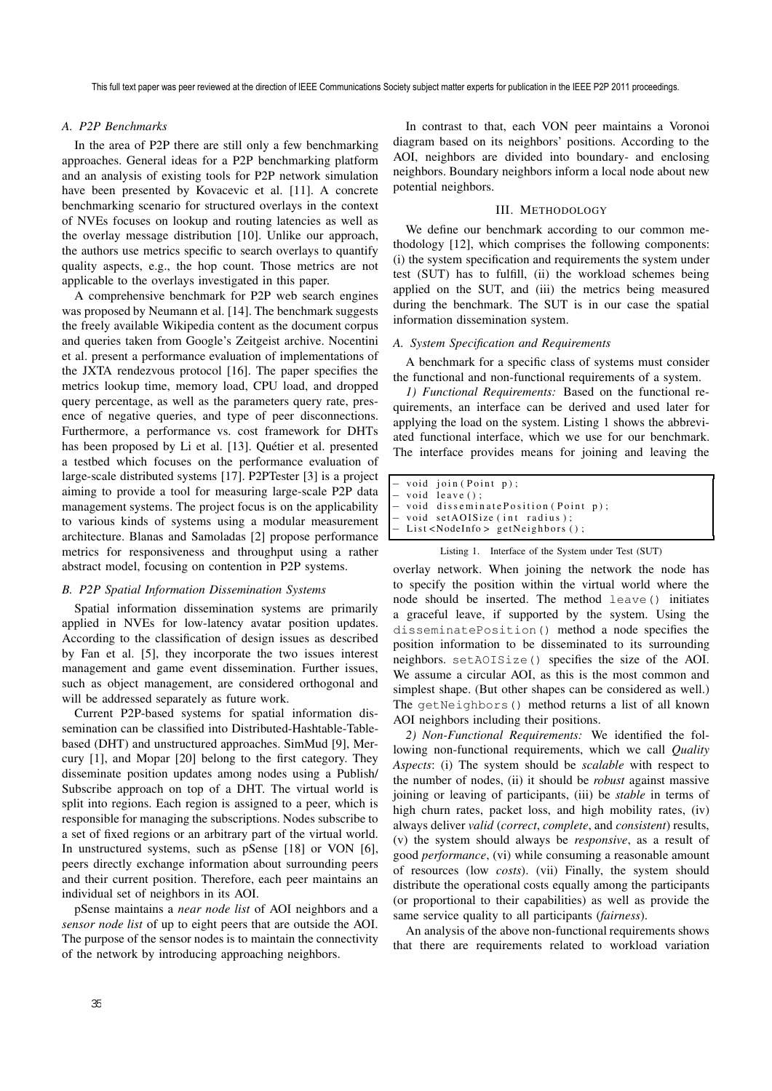# *A. P2P Benchmarks*

In the area of P2P there are still only a few benchmarking approaches. General ideas for a P2P benchmarking platform and an analysis of existing tools for P2P network simulation have been presented by Kovacevic et al. [11]. A concrete benchmarking scenario for structured overlays in the context of NVEs focuses on lookup and routing latencies as well as the overlay message distribution [10]. Unlike our approach, the authors use metrics specific to search overlays to quantify quality aspects, e.g., the hop count. Those metrics are not applicable to the overlays investigated in this paper.

A comprehensive benchmark for P2P web search engines was proposed by Neumann et al. [14]. The benchmark suggests the freely available Wikipedia content as the document corpus and queries taken from Google's Zeitgeist archive. Nocentini et al. present a performance evaluation of implementations of the JXTA rendezvous protocol [16]. The paper specifies the metrics lookup time, memory load, CPU load, and dropped query percentage, as well as the parameters query rate, presence of negative queries, and type of peer disconnections. Furthermore, a performance vs. cost framework for DHTs has been proposed by Li et al. [13]. Quétier et al. presented a testbed which focuses on the performance evaluation of large-scale distributed systems [17]. P2PTester [3] is a project aiming to provide a tool for measuring large-scale P2P data management systems. The project focus is on the applicability to various kinds of systems using a modular measurement architecture. Blanas and Samoladas [2] propose performance metrics for responsiveness and throughput using a rather abstract model, focusing on contention in P2P systems.

# *B. P2P Spatial Information Dissemination Systems*

Spatial information dissemination systems are primarily applied in NVEs for low-latency avatar position updates. According to the classification of design issues as described by Fan et al. [5], they incorporate the two issues interest management and game event dissemination. Further issues, such as object management, are considered orthogonal and will be addressed separately as future work.

Current P2P-based systems for spatial information dissemination can be classified into Distributed-Hashtable-Tablebased (DHT) and unstructured approaches. SimMud [9], Mercury [1], and Mopar [20] belong to the first category. They disseminate position updates among nodes using a Publish/ Subscribe approach on top of a DHT. The virtual world is split into regions. Each region is assigned to a peer, which is responsible for managing the subscriptions. Nodes subscribe to a set of fixed regions or an arbitrary part of the virtual world. In unstructured systems, such as pSense [18] or VON [6], peers directly exchange information about surrounding peers and their current position. Therefore, each peer maintains an individual set of neighbors in its AOI.

pSense maintains a *near node list* of AOI neighbors and a *sensor node list* of up to eight peers that are outside the AOI. The purpose of the sensor nodes is to maintain the connectivity of the network by introducing approaching neighbors.

In contrast to that, each VON peer maintains a Voronoi diagram based on its neighbors' positions. According to the AOI, neighbors are divided into boundary- and enclosing neighbors. Boundary neighbors inform a local node about new potential neighbors.

# III. METHODOLOGY

We define our benchmark according to our common methodology [12], which comprises the following components: (i) the system specification and requirements the system under test (SUT) has to fulfill, (ii) the workload schemes being applied on the SUT, and (iii) the metrics being measured during the benchmark. The SUT is in our case the spatial information dissemination system.

## *A. System Specification and Requirements*

A benchmark for a specific class of systems must consider the functional and non-functional requirements of a system.

*1) Functional Requirements:* Based on the functional requirements, an interface can be derived and used later for applying the load on the system. Listing 1 shows the abbreviated functional interface, which we use for our benchmark. The interface provides means for joining and leaving the

|  | void join (Point p);  |  |
|--|-----------------------|--|
|  | $-$ void leave $()$ : |  |

```
− void disseminatePosition ( Point p) ;
```

```
void setAOISize (int radius);
```

```
List<NodeInfo> getNeighbors ();
```

```
Listing 1. Interface of the System under Test (SUT)
```
overlay network. When joining the network the node has to specify the position within the virtual world where the node should be inserted. The method leave() initiates a graceful leave, if supported by the system. Using the disseminatePosition() method a node specifies the position information to be disseminated to its surrounding neighbors. setAOISize() specifies the size of the AOI. We assume a circular AOI, as this is the most common and simplest shape. (But other shapes can be considered as well.) The getNeighbors() method returns a list of all known AOI neighbors including their positions.

*2) Non-Functional Requirements:* We identified the following non-functional requirements, which we call *Quality Aspects*: (i) The system should be *scalable* with respect to the number of nodes, (ii) it should be *robust* against massive joining or leaving of participants, (iii) be *stable* in terms of high churn rates, packet loss, and high mobility rates, (iv) always deliver *valid* (*correct*, *complete*, and *consistent*) results, (v) the system should always be *responsive*, as a result of good *performance*, (vi) while consuming a reasonable amount of resources (low *costs*). (vii) Finally, the system should distribute the operational costs equally among the participants (or proportional to their capabilities) as well as provide the same service quality to all participants (*fairness*).

An analysis of the above non-functional requirements shows that there are requirements related to workload variation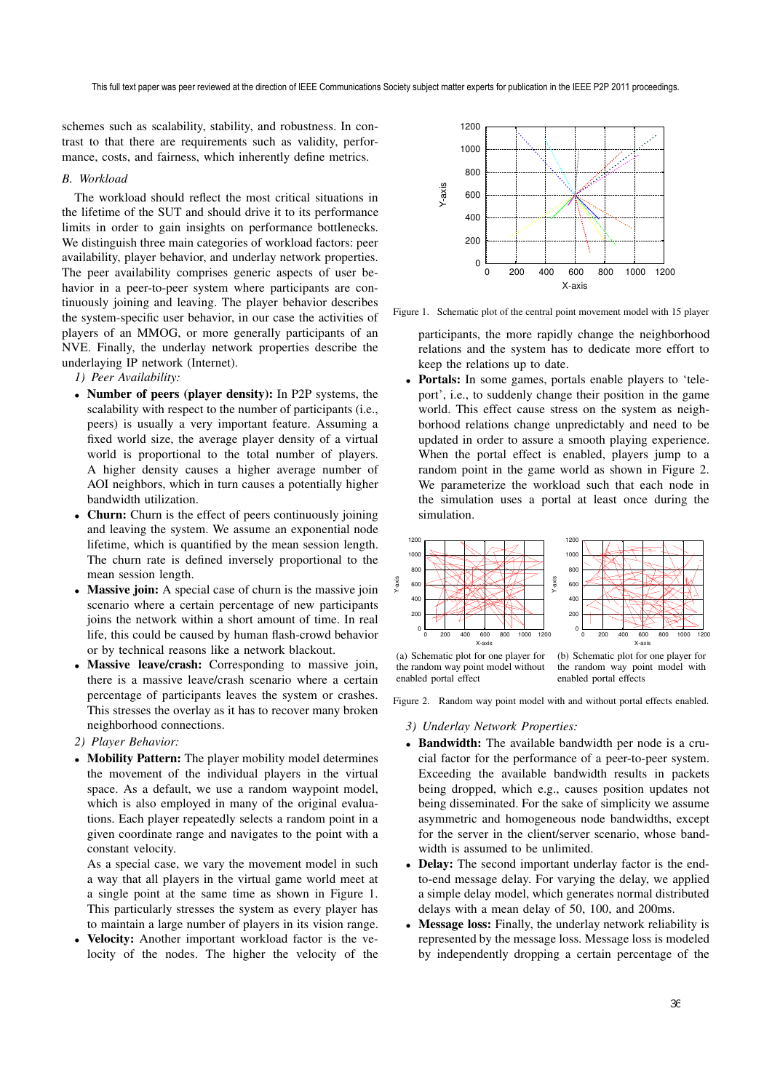schemes such as scalability, stability, and robustness. In contrast to that there are requirements such as validity, performance, costs, and fairness, which inherently define metrics.

# *B. Workload*

The workload should reflect the most critical situations in the lifetime of the SUT and should drive it to its performance limits in order to gain insights on performance bottlenecks. We distinguish three main categories of workload factors: peer availability, player behavior, and underlay network properties. The peer availability comprises generic aspects of user behavior in a peer-to-peer system where participants are continuously joining and leaving. The player behavior describes the system-specific user behavior, in our case the activities of players of an MMOG, or more generally participants of an NVE. Finally, the underlay network properties describe the underlaying IP network (Internet).

*1) Peer Availability:*

- **Number of peers (player density):** In P2P systems, the scalability with respect to the number of participants (i.e., peers) is usually a very important feature. Assuming a fixed world size, the average player density of a virtual world is proportional to the total number of players. A higher density causes a higher average number of AOI neighbors, which in turn causes a potentially higher bandwidth utilization.
- **Churn:** Churn is the effect of peers continuously joining and leaving the system. We assume an exponential node lifetime, which is quantified by the mean session length. The churn rate is defined inversely proportional to the mean session length.
- **Massive join:** A special case of churn is the massive join scenario where a certain percentage of new participants joins the network within a short amount of time. In real life, this could be caused by human flash-crowd behavior or by technical reasons like a network blackout.
- **Massive leave/crash:** Corresponding to massive join, there is a massive leave/crash scenario where a certain percentage of participants leaves the system or crashes. This stresses the overlay as it has to recover many broken neighborhood connections.
- *2) Player Behavior:*
- **Mobility Pattern:** The player mobility model determines the movement of the individual players in the virtual space. As a default, we use a random waypoint model, which is also employed in many of the original evaluations. Each player repeatedly selects a random point in a given coordinate range and navigates to the point with a constant velocity.

As a special case, we vary the movement model in such a way that all players in the virtual game world meet at a single point at the same time as shown in Figure 1. This particularly stresses the system as every player has to maintain a large number of players in its vision range.

• **Velocity:** Another important workload factor is the velocity of the nodes. The higher the velocity of the



Figure 1. Schematic plot of the central point movement model with 15 player

participants, the more rapidly change the neighborhood relations and the system has to dedicate more effort to keep the relations up to date.

• **Portals:** In some games, portals enable players to 'teleport', i.e., to suddenly change their position in the game world. This effect cause stress on the system as neighborhood relations change unpredictably and need to be updated in order to assure a smooth playing experience. When the portal effect is enabled, players jump to a random point in the game world as shown in Figure 2. We parameterize the workload such that each node in the simulation uses a portal at least once during the simulation.



(a) Schematic plot for one player for the random way point model without enabled portal effect

the random way point model with enabled portal effects

Figure 2. Random way point model with and without portal effects enabled.

### *3) Underlay Network Properties:*

- **Bandwidth:** The available bandwidth per node is a crucial factor for the performance of a peer-to-peer system. Exceeding the available bandwidth results in packets being dropped, which e.g., causes position updates not being disseminated. For the sake of simplicity we assume asymmetric and homogeneous node bandwidths, except for the server in the client/server scenario, whose bandwidth is assumed to be unlimited.
- **Delay:** The second important underlay factor is the endto-end message delay. For varying the delay, we applied a simple delay model, which generates normal distributed delays with a mean delay of 50, 100, and 200ms.
- **Message loss:** Finally, the underlay network reliability is represented by the message loss. Message loss is modeled by independently dropping a certain percentage of the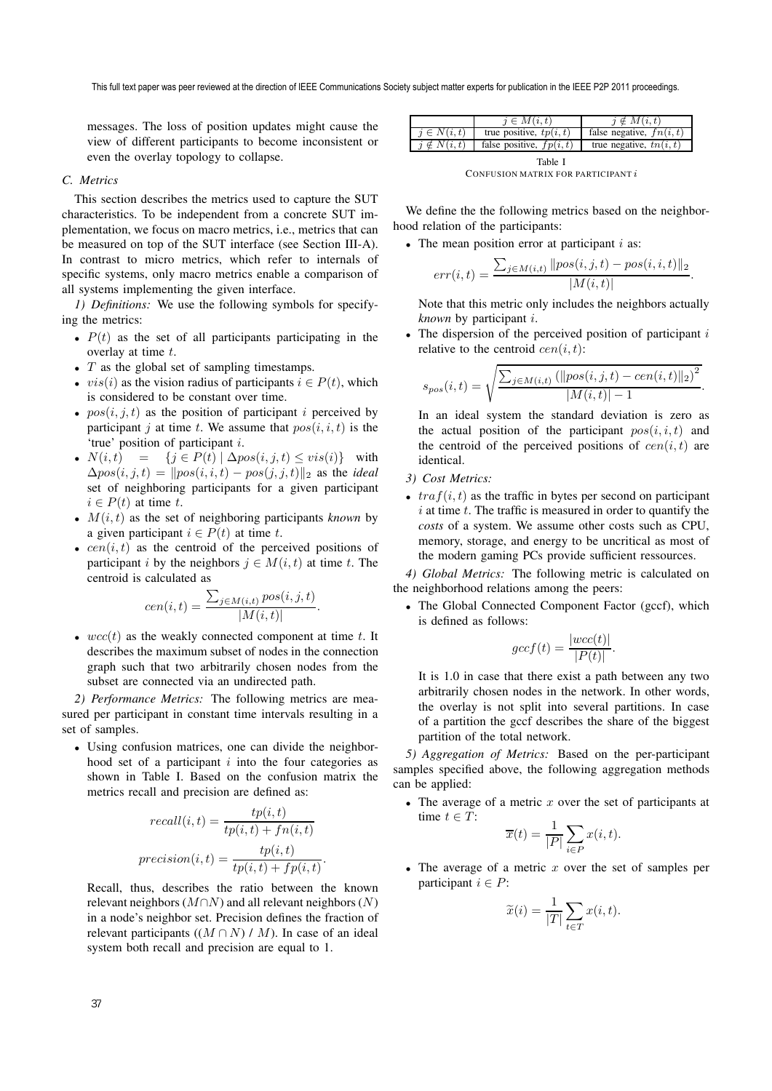This full text paper was peer reviewed at the direction of IEEE Communications Society subject matter experts for publication in the IEEE P2P 2011 proceedings.

messages. The loss of position updates might cause the view of different participants to become inconsistent or even the overlay topology to collapse.

# *C. Metrics*

This section describes the metrics used to capture the SUT characteristics. To be independent from a concrete SUT implementation, we focus on macro metrics, i.e., metrics that can be measured on top of the SUT interface (see Section III-A). In contrast to micro metrics, which refer to internals of specific systems, only macro metrics enable a comparison of all systems implementing the given interface.

*1) Definitions:* We use the following symbols for specifying the metrics:

- $P(t)$  as the set of all participants participating in the overlay at time t.
- $T$  as the global set of sampling timestamps.
- $vis(i)$  as the vision radius of participants  $i \in P(t)$ , which is considered to be constant over time.
- $pos(i, j, t)$  as the position of participant i perceived by participant j at time t. We assume that  $pos(i, i, t)$  is the 'true' position of participant i.
- $N(i, t) = \{j \in P(t) | \Delta pos(i, j, t) \leq vis(i)\}\$  with  $\Delta pos(i, j, t) = ||pos(i, i, t) - pos(j, j, t)||_2$  as the *ideal* set of neighboring participants for a given participant  $i \in P(t)$  at time t.
- $M(i, t)$  as the set of neighboring participants *known* by a given participant  $i \in P(t)$  at time t.
- $cen(i, t)$  as the centroid of the perceived positions of participant i by the neighbors  $j \in M(i, t)$  at time t. The centroid is calculated as

$$
cen(i, t) = \frac{\sum_{j \in M(i, t)} pos(i, j, t)}{|M(i, t)|}.
$$

•  $wcc(t)$  as the weakly connected component at time t. It describes the maximum subset of nodes in the connection describes the maximum subset of nodes in the connection graph such that two arbitrarily chosen nodes from the subset are connected via an undirected path.

*2) Performance Metrics:* The following metrics are measured per participant in constant time intervals resulting in a set of samples.

• Using confusion matrices, one can divide the neighborhood set of a participant  $i$  into the four categories as shown in Table I. Based on the confusion matrix the metrics recall and precision are defined as:

$$
recall(i, t) = \frac{tp(i, t)}{tp(i, t) + fn(i, t)}
$$

$$
precision(i, t) = \frac{tp(i, t)}{tp(i, t) + fp(i, t)}.
$$

Recall, thus, describes the ratio between the known relevant neighbors ( $M\cap N$ ) and all relevant neighbors (N) in a node's neighbor set. Precision defines the fraction of relevant participants  $((M \cap N) / M)$ . In case of an ideal system both recall and precision are equal to 1.

|                   | $i \in M(i,t)$             | $i \notin M(i,t)$          |
|-------------------|----------------------------|----------------------------|
| $i \in N(i,t)$    | true positive, $tp(i, t)$  | false negative, $fn(i, t)$ |
| $i \notin N(i,t)$ | false positive, $fp(i, t)$ | true negative, $tn(i, t)$  |
|                   | Table I                    |                            |

CONFUSION MATRIX FOR PARTICIPANT  $i$ 

We define the the following metrics based on the neighborhood relation of the participants:

• The mean position error at participant  $i$  as:

$$
err(i, t) = \frac{\sum_{j \in M(i, t)} ||pos(i, j, t) - pos(i, i, t)||_2}{|M(i, t)|}.
$$

Note that this metric only includes the neighbors actually *known* by participant i.

The dispersion of the perceived position of participant  $i$ relative to the centroid  $cen(i, t)$ :

$$
s_{pos}(i,t) = \sqrt{\frac{\sum_{j \in M(i,t)} (\|pos(i,j,t) - cen(i,t)\|_2)^2}{|M(i,t)| - 1}}.
$$

In an ideal system the standard deviation is zero as the actual position of the participant  $pos(i, i, t)$  and the centroid of the perceived positions of  $cen(i, t)$  are identical.

- *3) Cost Metrics:*
- $traf(i, t)$  as the traffic in bytes per second on participant  $i$  at time  $t$ . The traffic is measured in order to quantify the *costs* of a system. We assume other costs such as CPU, memory, storage, and energy to be uncritical as most of the modern gaming PCs provide sufficient ressources.

*4) Global Metrics:* The following metric is calculated on the neighborhood relations among the peers:

• The Global Connected Component Factor (gccf), which is defined as follows:

$$
gccf(t) = \frac{|wcc(t)|}{|P(t)|}.
$$

It is 1.0 in case that there exist a path between any two arbitrarily chosen nodes in the network. In other words, the overlay is not split into several partitions. In case of a partition the gccf describes the share of the biggest partition of the total network.

*5) Aggregation of Metrics:* Based on the per-participant samples specified above, the following aggregation methods can be applied:

• The average of a metric  $x$  over the set of participants at time  $t \in T$ :

$$
\overline{x}(t) = \frac{1}{|P|} \sum_{i \in P} x(i, t).
$$

• The average of a metric  $x$  over the set of samples per participant  $i \in P$ :

$$
\widetilde{x}(i) = \frac{1}{|T|} \sum_{t \in T} x(i, t).
$$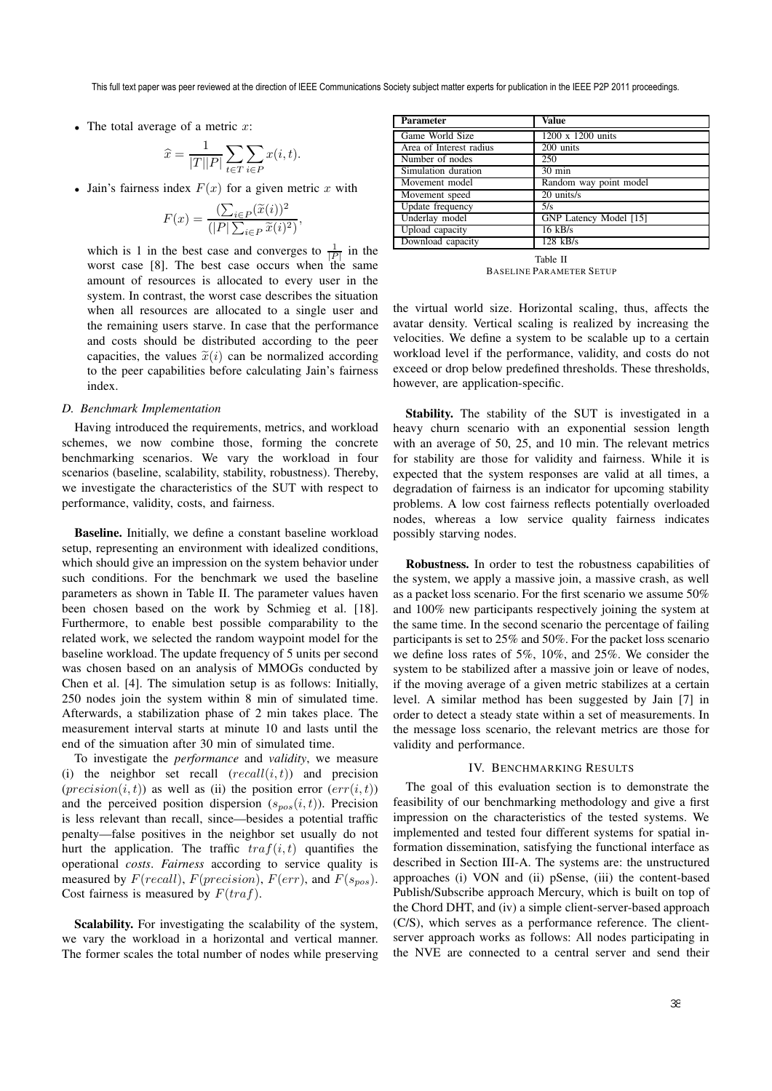This full text paper was peer reviewed at the direction of IEEE Communications Society subject matter experts for publication in the IEEE P2P 2011 proceedings.

• The total average of a metric  $x$ :

$$
\widehat{x} = \frac{1}{|T||P|} \sum_{t \in T} \sum_{i \in P} x(i, t).
$$

• Jain's fairness index  $F(x)$  for a given metric x with

$$
F(x) = \frac{\left(\sum_{i \in P} (\widetilde{x}(i))^2\right)}{(|P| \sum_{i \in P} \widetilde{x}(i)^2)},
$$

which is 1 in the best case and converges to  $\frac{1}{|P|}$  in the worst case [8]. The best case occurs when the same amount of resources is allocated to every user in the system. In contrast, the worst case describes the situation when all resources are allocated to a single user and the remaining users starve. In case that the performance and costs should be distributed according to the peer capacities, the values  $\tilde{x}(i)$  can be normalized according to the peer capabilities before calculating Jain's fairness index.

## *D. Benchmark Implementation*

Having introduced the requirements, metrics, and workload schemes, we now combine those, forming the concrete benchmarking scenarios. We vary the workload in four scenarios (baseline, scalability, stability, robustness). Thereby, we investigate the characteristics of the SUT with respect to performance, validity, costs, and fairness.

**Baseline.** Initially, we define a constant baseline workload setup, representing an environment with idealized conditions. which should give an impression on the system behavior under such conditions. For the benchmark we used the baseline parameters as shown in Table II. The parameter values haven been chosen based on the work by Schmieg et al. [18]. Furthermore, to enable best possible comparability to the related work, we selected the random waypoint model for the baseline workload. The update frequency of 5 units per second was chosen based on an analysis of MMOGs conducted by Chen et al. [4]. The simulation setup is as follows: Initially, 250 nodes join the system within 8 min of simulated time. Afterwards, a stabilization phase of 2 min takes place. The measurement interval starts at minute 10 and lasts until the end of the simuation after 30 min of simulated time.

To investigate the *performance* and *validity*, we measure (i) the neighbor set recall  $(recall(i, t))$  and precision (*precision* $(i, t)$ ) as well as (ii) the position error  $(err(i, t))$ and the perceived position dispersion  $(s_{pos}(i, t))$ . Precision is less relevant than recall, since—besides a potential traffic penalty—false positives in the neighbor set usually do not hurt the application. The traffic  $traf(i, t)$  quantifies the operational *costs*. *Fairness* according to service quality is measured by  $F(recall)$ ,  $F(precision)$ ,  $F(err)$ , and  $F(s<sub>pos</sub>)$ . Cost fairness is measured by  $F(traf)$ .

**Scalability.** For investigating the scalability of the system, we vary the workload in a horizontal and vertical manner. The former scales the total number of nodes while preserving

| <b>Parameter</b>        | <b>Value</b>           |
|-------------------------|------------------------|
| Game World Size         | 1200 x 1200 units      |
| Area of Interest radius | 200 units              |
| Number of nodes         | 250                    |
| Simulation duration     | $30 \text{ min}$       |
| Movement model          | Random way point model |
| Movement speed          | 20 units/s             |
| Update frequency        | 5/s                    |
| Underlay model          | GNP Latency Model [15] |
| Upload capacity         | $16$ kB/s              |
| Download capacity       | $128$ kB/s             |
|                         |                        |

Table II BASELINE PARAMETER SETUP

the virtual world size. Horizontal scaling, thus, affects the avatar density. Vertical scaling is realized by increasing the velocities. We define a system to be scalable up to a certain workload level if the performance, validity, and costs do not exceed or drop below predefined thresholds. These thresholds, however, are application-specific.

**Stability.** The stability of the SUT is investigated in a heavy churn scenario with an exponential session length with an average of 50, 25, and 10 min. The relevant metrics for stability are those for validity and fairness. While it is expected that the system responses are valid at all times, a degradation of fairness is an indicator for upcoming stability problems. A low cost fairness reflects potentially overloaded nodes, whereas a low service quality fairness indicates possibly starving nodes.

**Robustness.** In order to test the robustness capabilities of the system, we apply a massive join, a massive crash, as well as a packet loss scenario. For the first scenario we assume 50% and 100% new participants respectively joining the system at the same time. In the second scenario the percentage of failing participants is set to 25% and 50%. For the packet loss scenario we define loss rates of 5%, 10%, and 25%. We consider the system to be stabilized after a massive join or leave of nodes, if the moving average of a given metric stabilizes at a certain level. A similar method has been suggested by Jain [7] in order to detect a steady state within a set of measurements. In the message loss scenario, the relevant metrics are those for validity and performance.

# IV. BENCHMARKING RESULTS

The goal of this evaluation section is to demonstrate the feasibility of our benchmarking methodology and give a first impression on the characteristics of the tested systems. We implemented and tested four different systems for spatial information dissemination, satisfying the functional interface as described in Section III-A. The systems are: the unstructured approaches (i) VON and (ii) pSense, (iii) the content-based Publish/Subscribe approach Mercury, which is built on top of the Chord DHT, and (iv) a simple client-server-based approach (C/S), which serves as a performance reference. The clientserver approach works as follows: All nodes participating in the NVE are connected to a central server and send their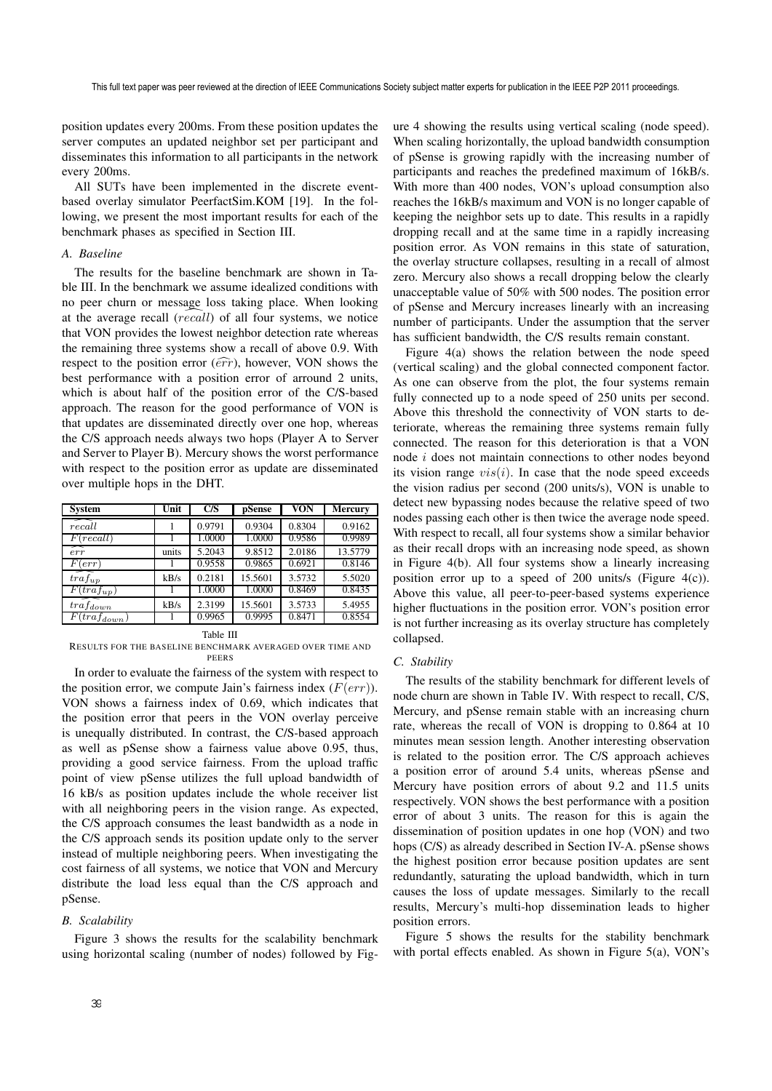position updates every 200ms. From these position updates the server computes an updated neighbor set per participant and disseminates this information to all participants in the network every 200ms.

All SUTs have been implemented in the discrete eventbased overlay simulator PeerfactSim.KOM [19]. In the following, we present the most important results for each of the benchmark phases as specified in Section III.

## *A. Baseline*

The results for the baseline benchmark are shown in Table III. In the benchmark we assume idealized conditions with no peer churn or message loss taking place. When looking at the average recall  $(rec\bar{a}ll)$  of all four systems, we notice that VON provides the lowest neighbor detection rate whereas the remaining three systems show a recall of above 0.9. With respect to the position error  $(\widehat{err})$ , however, VON shows the best performance with a position error of arround 2 units, which is about half of the position error of the C/S-based approach. The reason for the good performance of VON is that updates are disseminated directly over one hop, whereas the C/S approach needs always two hops (Player A to Server and Server to Player B). Mercury shows the worst performance with respect to the position error as update are disseminated over multiple hops in the DHT.

| <b>System</b>             | Unit  | C/S    | pSense  | VON    | <b>Mercury</b> |
|---------------------------|-------|--------|---------|--------|----------------|
| recall                    |       | 0.9791 | 0.9304  | 0.8304 | 0.9162         |
| F(recall)                 |       | 1.0000 | 1.0000  | 0.9586 | 0.9989         |
| ∼<br>err                  | units | 5.2043 | 9.8512  | 2.0186 | 13.5779        |
| $F(\textit{err})$         |       | 0.9558 | 0.9865  | 0.6921 | 0.8146         |
| $traf_{up}$               | kB/s  | 0.2181 | 15.5601 | 3.5732 | 5.5020         |
| $\overline{F}(traf_{up})$ |       | 1.0000 | 1.0000  | 0.8469 | 0.8435         |
| $tr\bar{a}f_{down}$       | kB/s  | 2.3199 | 15.5601 | 3.5733 | 5.4955         |
| $F(train_{down})$         |       | 0.9965 | 0.9995  | 0.8471 | 0.8554         |

Table III

RESULTS FOR THE BASELINE BENCHMARK AVERAGED OVER TIME AND PEERS

In order to evaluate the fairness of the system with respect to the position error, we compute Jain's fairness index  $(F(err))$ . VON shows a fairness index of 0.69, which indicates that the position error that peers in the VON overlay perceive is unequally distributed. In contrast, the C/S-based approach as well as pSense show a fairness value above 0.95, thus, providing a good service fairness. From the upload traffic point of view pSense utilizes the full upload bandwidth of 16 kB/s as position updates include the whole receiver list with all neighboring peers in the vision range. As expected, the C/S approach consumes the least bandwidth as a node in the C/S approach sends its position update only to the server instead of multiple neighboring peers. When investigating the cost fairness of all systems, we notice that VON and Mercury distribute the load less equal than the C/S approach and pSense.

## *B. Scalability*

Figure 3 shows the results for the scalability benchmark using horizontal scaling (number of nodes) followed by Fig-

ure 4 showing the results using vertical scaling (node speed). When scaling horizontally, the upload bandwidth consumption of pSense is growing rapidly with the increasing number of participants and reaches the predefined maximum of 16kB/s. With more than 400 nodes, VON's upload consumption also reaches the 16kB/s maximum and VON is no longer capable of keeping the neighbor sets up to date. This results in a rapidly dropping recall and at the same time in a rapidly increasing position error. As VON remains in this state of saturation, the overlay structure collapses, resulting in a recall of almost zero. Mercury also shows a recall dropping below the clearly unacceptable value of 50% with 500 nodes. The position error of pSense and Mercury increases linearly with an increasing number of participants. Under the assumption that the server has sufficient bandwidth, the C/S results remain constant.

Figure 4(a) shows the relation between the node speed (vertical scaling) and the global connected component factor. As one can observe from the plot, the four systems remain fully connected up to a node speed of 250 units per second. Above this threshold the connectivity of VON starts to deteriorate, whereas the remaining three systems remain fully connected. The reason for this deterioration is that a VON node i does not maintain connections to other nodes beyond its vision range  $vis(i)$ . In case that the node speed exceeds the vision radius per second (200 units/s), VON is unable to detect new bypassing nodes because the relative speed of two nodes passing each other is then twice the average node speed. With respect to recall, all four systems show a similar behavior as their recall drops with an increasing node speed, as shown in Figure 4(b). All four systems show a linearly increasing position error up to a speed of 200 units/s (Figure 4(c)). Above this value, all peer-to-peer-based systems experience higher fluctuations in the position error. VON's position error is not further increasing as its overlay structure has completely collapsed.

# *C. Stability*

The results of the stability benchmark for different levels of node churn are shown in Table IV. With respect to recall, C/S, Mercury, and pSense remain stable with an increasing churn rate, whereas the recall of VON is dropping to 0.864 at 10 minutes mean session length. Another interesting observation is related to the position error. The C/S approach achieves a position error of around 5.4 units, whereas pSense and Mercury have position errors of about 9.2 and 11.5 units respectively. VON shows the best performance with a position error of about 3 units. The reason for this is again the dissemination of position updates in one hop (VON) and two hops (C/S) as already described in Section IV-A. pSense shows the highest position error because position updates are sent redundantly, saturating the upload bandwidth, which in turn causes the loss of update messages. Similarly to the recall results, Mercury's multi-hop dissemination leads to higher position errors.

Figure 5 shows the results for the stability benchmark with portal effects enabled. As shown in Figure 5(a), VON's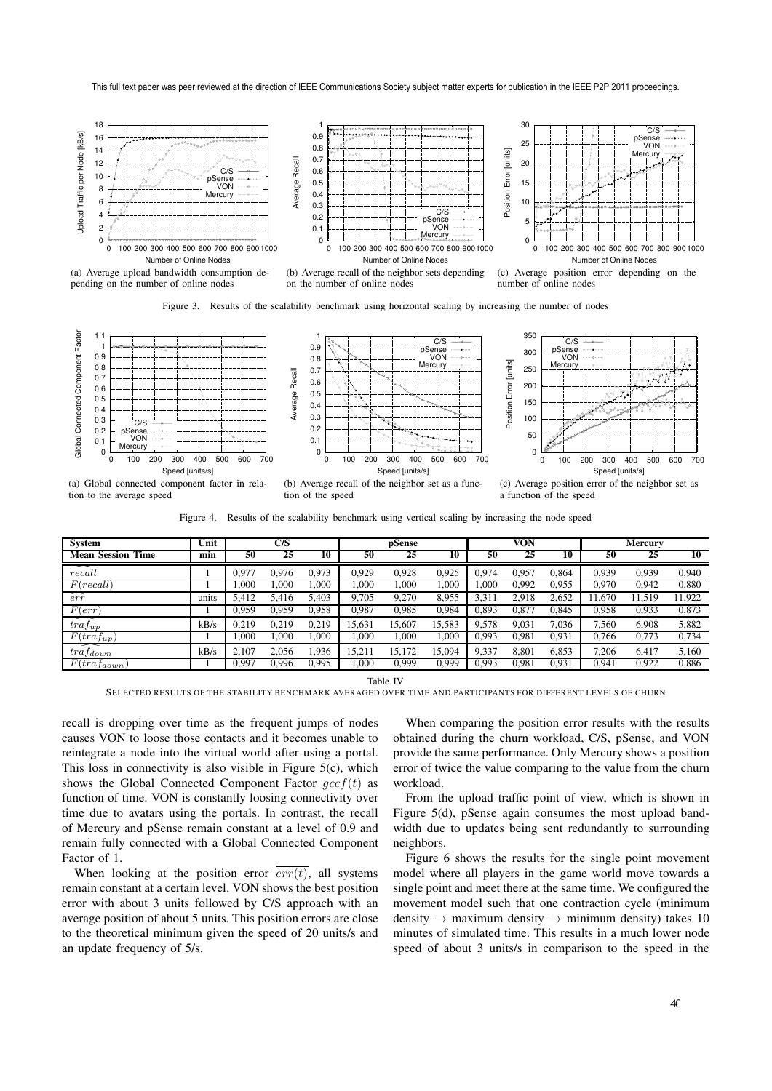This full text paper was peer reviewed at the direction of IEEE Communications Society subject matter experts for publication in the IEEE P2P 2011 proceedings.



Figure 3. Results of the scalability benchmark using horizontal scaling by increasing the number of nodes



Figure 4. Results of the scalability benchmark using vertical scaling by increasing the node speed

| C/S<br>Unit<br><b>System</b> |       | pSense |       | <b>VON</b> |        |            | <b>Mercury</b> |                   |       |       |       |        |        |
|------------------------------|-------|--------|-------|------------|--------|------------|----------------|-------------------|-------|-------|-------|--------|--------|
| <b>Mean Session Time</b>     | min   | 50     | 25    | 10         | 50     | 25         | 10             | 50                | 25    | 10    | 50    | 25     | 10     |
| 一<br>recall                  |       | 0.977  | 0.976 | 0,973      | 0.929  | 0.928      | 0.925          | 0.974             | 0.957 | 0.864 | 0.939 | 0.939  | 0,940  |
| F(recall)                    |       | .000   | .000  | .000       | L.000  | .000       | .000           | .000              | 0.992 | 0.955 | 0.970 | 0.942  | 0,880  |
| ≂<br>err                     | units | 5.412  | 5.416 | 5.403      | 9.705  | 9.270      | 8,955          | 3,31 <sup>1</sup> | 2.918 | 2,652 | 1.670 | 11.519 | 11,922 |
| F(err)                       |       | 0.959  | 0.959 | 0,958      | 0,987  | 0.985      | 0,984          | 0.893             | 0.877 | 0.845 | 0,958 | 0.933  | 0,873  |
| ≂<br>$trat_{up}$             | kB/s  | 0.219  | 0.219 | 0.219      | 15,631 | 15.607     | 15.583         | 9,578             | 9.031 | 7,036 | 7.560 | 6.908  | 5,882  |
| $F(tra f_{up})$              |       | .000   | .000  | .000       | L.000  | L.000      | .000           | 0,993             | 0.981 | 0.931 | 0.766 | 0.773  | 0.734  |
| 一<br>$trat_{down}$           | kB/s  | 2.107  | 2.056 | .936       | 15,21  | 172<br>15. | 15.094         | 9,337             | 8.801 | 6,853 | 7,206 | 6.417  | 5,160  |
| $F(tra f_{down})$            |       | 0,997  | 0.996 | 0,995      | .000   | 0.999      | 0,999          | 0.993             | 0.981 | 0,931 | 0,941 | 0.922  | 0,886  |

Table IV

SELECTED RESULTS OF THE STABILITY BENCHMARK AVERAGED OVER TIME AND PARTICIPANTS FOR DIFFERENT LEVELS OF CHURN

recall is dropping over time as the frequent jumps of nodes causes VON to loose those contacts and it becomes unable to reintegrate a node into the virtual world after using a portal. This loss in connectivity is also visible in Figure 5(c), which shows the Global Connected Component Factor  $qccf(t)$  as function of time. VON is constantly loosing connectivity over time due to avatars using the portals. In contrast, the recall of Mercury and pSense remain constant at a level of 0.9 and remain fully connected with a Global Connected Component Factor of 1.

When looking at the position error  $\overline{err(t)}$ , all systems remain constant at a certain level. VON shows the best position error with about 3 units followed by C/S approach with an average position of about 5 units. This position errors are close to the theoretical minimum given the speed of 20 units/s and an update frequency of 5/s.

When comparing the position error results with the results obtained during the churn workload, C/S, pSense, and VON provide the same performance. Only Mercury shows a position error of twice the value comparing to the value from the churn workload.

From the upload traffic point of view, which is shown in Figure 5(d), pSense again consumes the most upload bandwidth due to updates being sent redundantly to surrounding neighbors.

Figure 6 shows the results for the single point movement model where all players in the game world move towards a single point and meet there at the same time. We configured the movement model such that one contraction cycle (minimum density  $\rightarrow$  maximum density  $\rightarrow$  minimum density) takes 10 minutes of simulated time. This results in a much lower node speed of about 3 units/s in comparison to the speed in the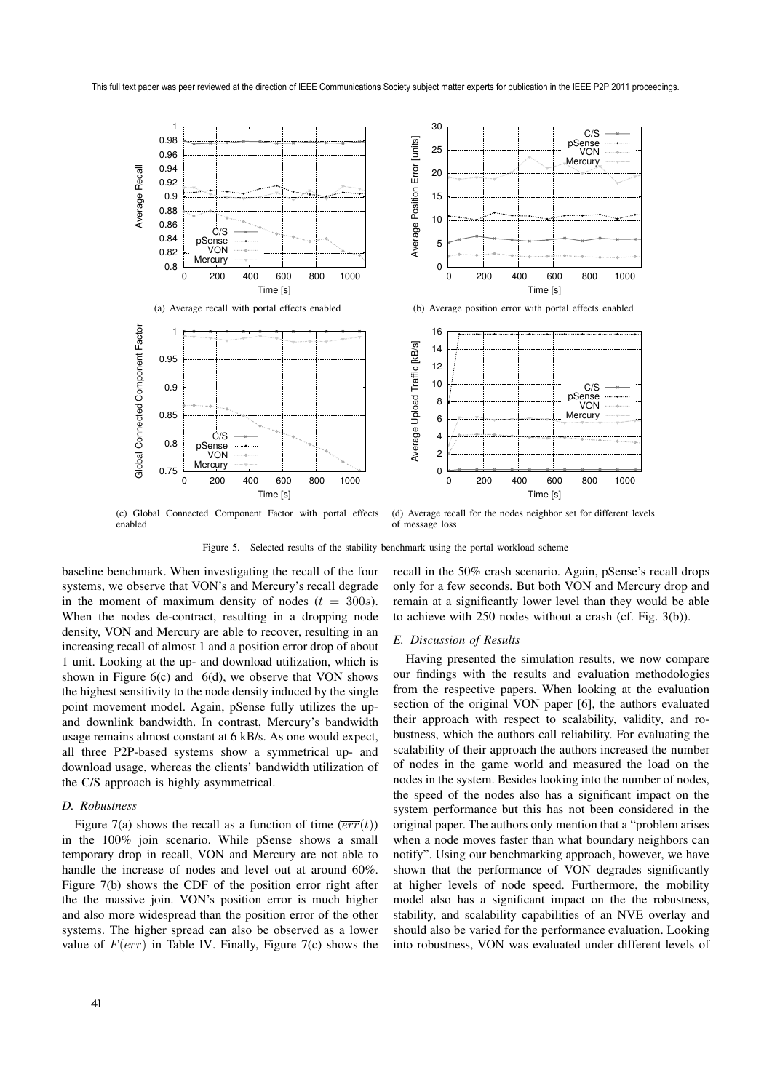

(c) Global Connected Component Factor with portal effects enabled

(d) Average recall for the nodes neighbor set for different levels of message loss

Figure 5. Selected results of the stability benchmark using the portal workload scheme

baseline benchmark. When investigating the recall of the four systems, we observe that VON's and Mercury's recall degrade in the moment of maximum density of nodes  $(t = 300s)$ . When the nodes de-contract, resulting in a dropping node density, VON and Mercury are able to recover, resulting in an increasing recall of almost 1 and a position error drop of about 1 unit. Looking at the up- and download utilization, which is shown in Figure  $6(c)$  and  $6(d)$ , we observe that VON shows the highest sensitivity to the node density induced by the single point movement model. Again, pSense fully utilizes the upand downlink bandwidth. In contrast, Mercury's bandwidth usage remains almost constant at 6 kB/s. As one would expect, all three P2P-based systems show a symmetrical up- and download usage, whereas the clients' bandwidth utilization of the C/S approach is highly asymmetrical.

# *D. Robustness*

Figure 7(a) shows the recall as a function of time  $(\overline{err}(t))$ in the 100% join scenario. While pSense shows a small temporary drop in recall, VON and Mercury are not able to handle the increase of nodes and level out at around 60%. Figure 7(b) shows the CDF of the position error right after the the massive join. VON's position error is much higher and also more widespread than the position error of the other systems. The higher spread can also be observed as a lower value of  $F(err)$  in Table IV. Finally, Figure 7(c) shows the

recall in the 50% crash scenario. Again, pSense's recall drops only for a few seconds. But both VON and Mercury drop and remain at a significantly lower level than they would be able to achieve with 250 nodes without a crash (cf. Fig. 3(b)).

## *E. Discussion of Results*

Having presented the simulation results, we now compare our findings with the results and evaluation methodologies from the respective papers. When looking at the evaluation section of the original VON paper [6], the authors evaluated their approach with respect to scalability, validity, and robustness, which the authors call reliability. For evaluating the scalability of their approach the authors increased the number of nodes in the game world and measured the load on the nodes in the system. Besides looking into the number of nodes, the speed of the nodes also has a significant impact on the system performance but this has not been considered in the original paper. The authors only mention that a "problem arises when a node moves faster than what boundary neighbors can notify". Using our benchmarking approach, however, we have shown that the performance of VON degrades significantly at higher levels of node speed. Furthermore, the mobility model also has a significant impact on the the robustness, stability, and scalability capabilities of an NVE overlay and should also be varied for the performance evaluation. Looking into robustness, VON was evaluated under different levels of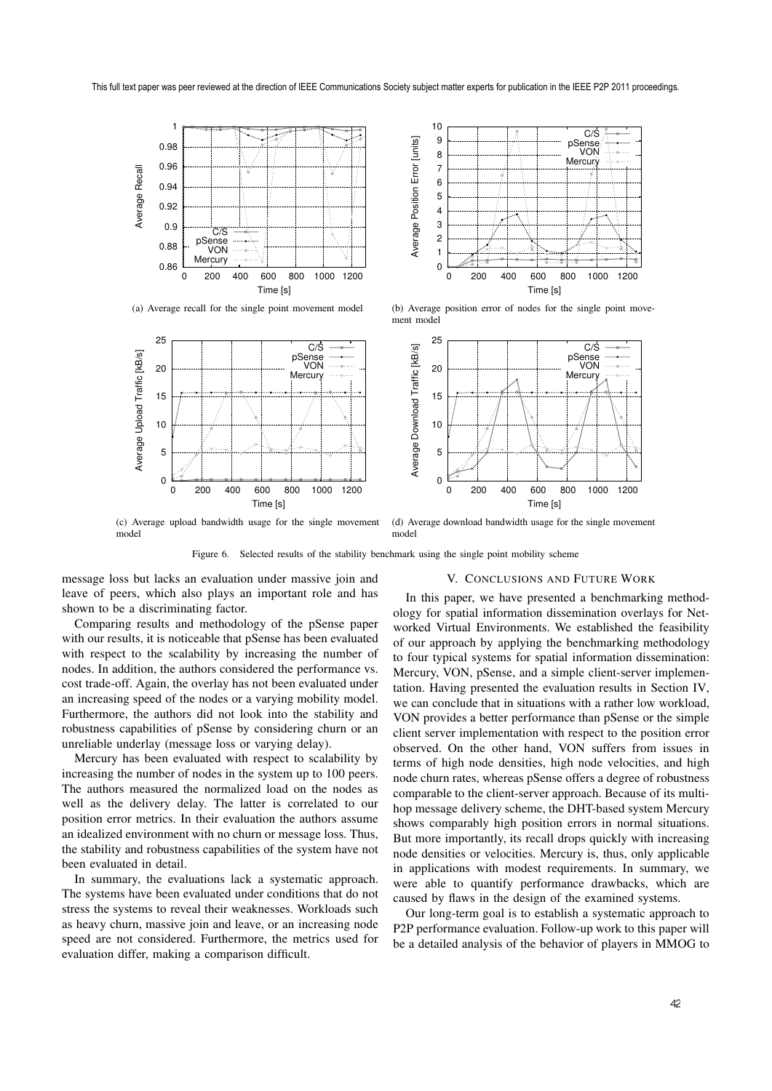

 10  $C/\dot{S}$  9 Average Position Error [units] Average Position Error [units] pSense VON 8 **Mercury**  7 6 5 4 3 2 1  $\overline{0}$  0 200 400 600 800 1000 1200 Time [s]

(a) Average recall for the single point movement model



(b) Average position error of nodes for the single point movement model



(c) Average upload bandwidth usage for the single movement (d) Average download bandwidth usage for the single movement model

Figure 6. Selected results of the stability benchmark using the single point mobility scheme

message loss but lacks an evaluation under massive join and leave of peers, which also plays an important role and has shown to be a discriminating factor.

model

Comparing results and methodology of the pSense paper with our results, it is noticeable that pSense has been evaluated with respect to the scalability by increasing the number of nodes. In addition, the authors considered the performance vs. cost trade-off. Again, the overlay has not been evaluated under an increasing speed of the nodes or a varying mobility model. Furthermore, the authors did not look into the stability and robustness capabilities of pSense by considering churn or an unreliable underlay (message loss or varying delay).

Mercury has been evaluated with respect to scalability by increasing the number of nodes in the system up to 100 peers. The authors measured the normalized load on the nodes as well as the delivery delay. The latter is correlated to our position error metrics. In their evaluation the authors assume an idealized environment with no churn or message loss. Thus, the stability and robustness capabilities of the system have not been evaluated in detail.

In summary, the evaluations lack a systematic approach. The systems have been evaluated under conditions that do not stress the systems to reveal their weaknesses. Workloads such as heavy churn, massive join and leave, or an increasing node speed are not considered. Furthermore, the metrics used for evaluation differ, making a comparison difficult.

## V. CONCLUSIONS AND FUTURE WORK

In this paper, we have presented a benchmarking methodology for spatial information dissemination overlays for Networked Virtual Environments. We established the feasibility of our approach by applying the benchmarking methodology to four typical systems for spatial information dissemination: Mercury, VON, pSense, and a simple client-server implementation. Having presented the evaluation results in Section IV, we can conclude that in situations with a rather low workload, VON provides a better performance than pSense or the simple client server implementation with respect to the position error observed. On the other hand, VON suffers from issues in terms of high node densities, high node velocities, and high node churn rates, whereas pSense offers a degree of robustness comparable to the client-server approach. Because of its multihop message delivery scheme, the DHT-based system Mercury shows comparably high position errors in normal situations. But more importantly, its recall drops quickly with increasing node densities or velocities. Mercury is, thus, only applicable in applications with modest requirements. In summary, we were able to quantify performance drawbacks, which are caused by flaws in the design of the examined systems.

Our long-term goal is to establish a systematic approach to P2P performance evaluation. Follow-up work to this paper will be a detailed analysis of the behavior of players in MMOG to